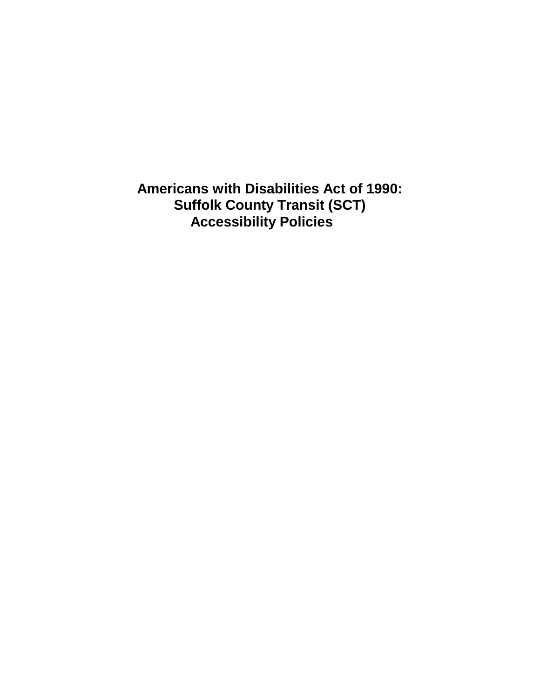**Americans with Disabilities Act of 1990: Suffolk County Transit (SCT) Accessibility Policies**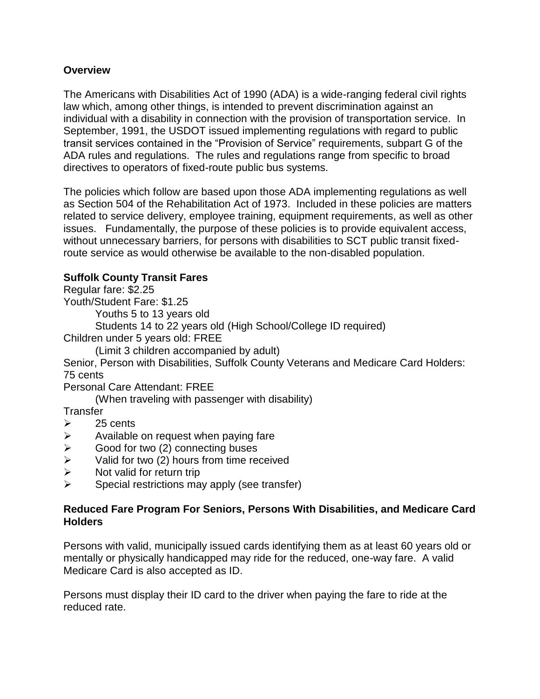## **Overview**

The Americans with Disabilities Act of 1990 (ADA) is a wide-ranging federal civil rights law which, among other things, is intended to prevent discrimination against an individual with a disability in connection with the provision of transportation service. In September, 1991, the USDOT issued implementing regulations with regard to public transit services contained in the "Provision of Service" requirements, subpart G of the ADA rules and regulations. The rules and regulations range from specific to broad directives to operators of fixed-route public bus systems.

The policies which follow are based upon those ADA implementing regulations as well as Section 504 of the Rehabilitation Act of 1973. Included in these policies are matters related to service delivery, employee training, equipment requirements, as well as other issues. Fundamentally, the purpose of these policies is to provide equivalent access, without unnecessary barriers, for persons with disabilities to SCT public transit fixedroute service as would otherwise be available to the non-disabled population.

## **Suffolk County Transit Fares**

Regular fare: \$2.25

Youth/Student Fare: \$1.25

Youths 5 to 13 years old

Students 14 to 22 years old (High School/College ID required)

Children under 5 years old: FREE

(Limit 3 children accompanied by adult)

Senior, Person with Disabilities, Suffolk County Veterans and Medicare Card Holders: 75 cents

Personal Care Attendant: FREE

(When traveling with passenger with disability)

**Transfer** 

- $\geq$  25 cents
- $\triangleright$  Available on request when paying fare
- $\triangleright$  Good for two (2) connecting buses
- $\triangleright$  Valid for two (2) hours from time received
- $\triangleright$  Not valid for return trip
- $\triangleright$  Special restrictions may apply (see transfer)

#### **Reduced Fare Program For Seniors, Persons With Disabilities, and Medicare Card Holders**

Persons with valid, municipally issued cards identifying them as at least 60 years old or mentally or physically handicapped may ride for the reduced, one-way fare. A valid Medicare Card is also accepted as ID.

Persons must display their ID card to the driver when paying the fare to ride at the reduced rate.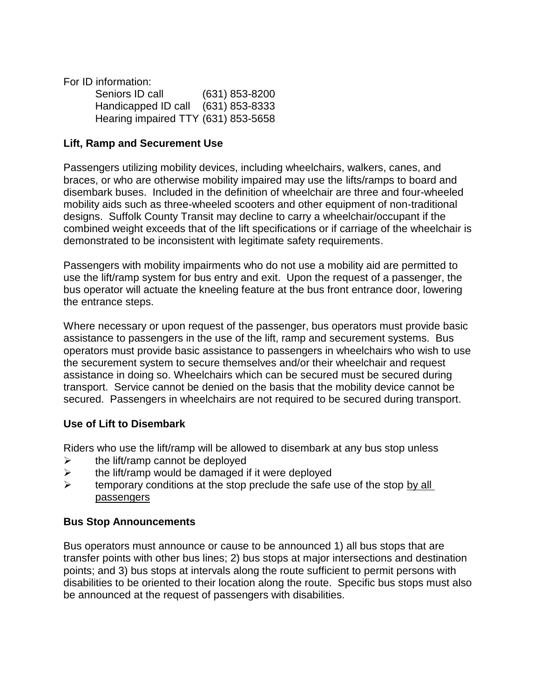For ID information:

| Seniors ID call                     | $(631)$ 853-8200 |
|-------------------------------------|------------------|
| Handicapped ID call                 | (631) 853-8333   |
| Hearing impaired TTY (631) 853-5658 |                  |

#### **Lift, Ramp and Securement Use**

Passengers utilizing mobility devices, including wheelchairs, walkers, canes, and braces, or who are otherwise mobility impaired may use the lifts/ramps to board and disembark buses. Included in the definition of wheelchair are three and four-wheeled mobility aids such as three-wheeled scooters and other equipment of non-traditional designs. Suffolk County Transit may decline to carry a wheelchair/occupant if the combined weight exceeds that of the lift specifications or if carriage of the wheelchair is demonstrated to be inconsistent with legitimate safety requirements.

Passengers with mobility impairments who do not use a mobility aid are permitted to use the lift/ramp system for bus entry and exit. Upon the request of a passenger, the bus operator will actuate the kneeling feature at the bus front entrance door, lowering the entrance steps.

Where necessary or upon request of the passenger, bus operators must provide basic assistance to passengers in the use of the lift, ramp and securement systems. Bus operators must provide basic assistance to passengers in wheelchairs who wish to use the securement system to secure themselves and/or their wheelchair and request assistance in doing so. Wheelchairs which can be secured must be secured during transport. Service cannot be denied on the basis that the mobility device cannot be secured. Passengers in wheelchairs are not required to be secured during transport.

# **Use of Lift to Disembark**

Riders who use the lift/ramp will be allowed to disembark at any bus stop unless

- $\triangleright$  the lift/ramp cannot be deployed
- $\triangleright$  the lift/ramp would be damaged if it were deployed
- $\triangleright$  temporary conditions at the stop preclude the safe use of the stop by all passengers

#### **Bus Stop Announcements**

Bus operators must announce or cause to be announced 1) all bus stops that are transfer points with other bus lines; 2) bus stops at major intersections and destination points; and 3) bus stops at intervals along the route sufficient to permit persons with disabilities to be oriented to their location along the route. Specific bus stops must also be announced at the request of passengers with disabilities.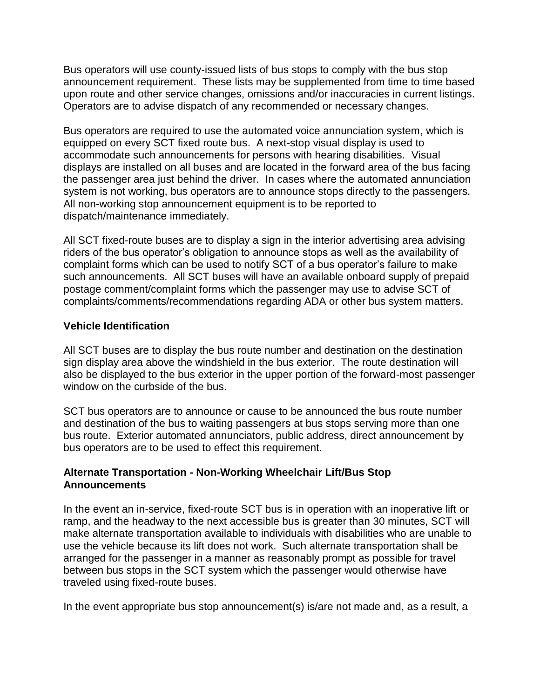Bus operators will use county-issued lists of bus stops to comply with the bus stop announcement requirement. These lists may be supplemented from time to time based upon route and other service changes, omissions and/or inaccuracies in current listings. Operators are to advise dispatch of any recommended or necessary changes.

Bus operators are required to use the automated voice annunciation system, which is equipped on every SCT fixed route bus. A next-stop visual display is used to accommodate such announcements for persons with hearing disabilities. Visual displays are installed on all buses and are located in the forward area of the bus facing the passenger area just behind the driver. In cases where the automated annunciation system is not working, bus operators are to announce stops directly to the passengers. All non-working stop announcement equipment is to be reported to dispatch/maintenance immediately.

All SCT fixed-route buses are to display a sign in the interior advertising area advising riders of the bus operator's obligation to announce stops as well as the availability of complaint forms which can be used to notify SCT of a bus operator's failure to make such announcements. All SCT buses will have an available onboard supply of prepaid postage comment/complaint forms which the passenger may use to advise SCT of complaints/comments/recommendations regarding ADA or other bus system matters.

#### **Vehicle Identification**

All SCT buses are to display the bus route number and destination on the destination sign display area above the windshield in the bus exterior. The route destination will also be displayed to the bus exterior in the upper portion of the forward-most passenger window on the curbside of the bus.

SCT bus operators are to announce or cause to be announced the bus route number and destination of the bus to waiting passengers at bus stops serving more than one bus route. Exterior automated annunciators, public address, direct announcement by bus operators are to be used to effect this requirement.

## **Alternate Transportation - Non-Working Wheelchair Lift/Bus Stop Announcements**

In the event an in-service, fixed-route SCT bus is in operation with an inoperative lift or ramp, and the headway to the next accessible bus is greater than 30 minutes, SCT will make alternate transportation available to individuals with disabilities who are unable to use the vehicle because its lift does not work. Such alternate transportation shall be arranged for the passenger in a manner as reasonably prompt as possible for travel between bus stops in the SCT system which the passenger would otherwise have traveled using fixed-route buses.

In the event appropriate bus stop announcement(s) is/are not made and, as a result, a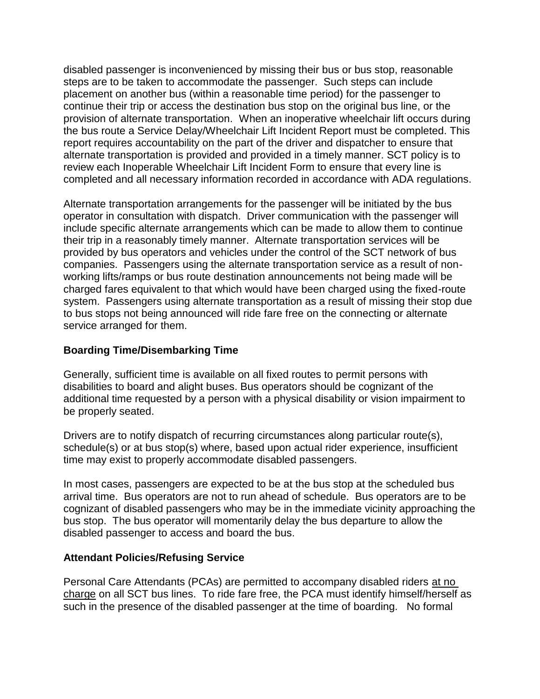disabled passenger is inconvenienced by missing their bus or bus stop, reasonable steps are to be taken to accommodate the passenger. Such steps can include placement on another bus (within a reasonable time period) for the passenger to continue their trip or access the destination bus stop on the original bus line, or the provision of alternate transportation. When an inoperative wheelchair lift occurs during the bus route a Service Delay/Wheelchair Lift Incident Report must be completed. This report requires accountability on the part of the driver and dispatcher to ensure that alternate transportation is provided and provided in a timely manner. SCT policy is to review each Inoperable Wheelchair Lift Incident Form to ensure that every line is completed and all necessary information recorded in accordance with ADA regulations.

Alternate transportation arrangements for the passenger will be initiated by the bus operator in consultation with dispatch. Driver communication with the passenger will include specific alternate arrangements which can be made to allow them to continue their trip in a reasonably timely manner. Alternate transportation services will be provided by bus operators and vehicles under the control of the SCT network of bus companies. Passengers using the alternate transportation service as a result of nonworking lifts/ramps or bus route destination announcements not being made will be charged fares equivalent to that which would have been charged using the fixed-route system. Passengers using alternate transportation as a result of missing their stop due to bus stops not being announced will ride fare free on the connecting or alternate service arranged for them.

#### **Boarding Time/Disembarking Time**

Generally, sufficient time is available on all fixed routes to permit persons with disabilities to board and alight buses. Bus operators should be cognizant of the additional time requested by a person with a physical disability or vision impairment to be properly seated.

Drivers are to notify dispatch of recurring circumstances along particular route(s), schedule(s) or at bus stop(s) where, based upon actual rider experience, insufficient time may exist to properly accommodate disabled passengers.

In most cases, passengers are expected to be at the bus stop at the scheduled bus arrival time. Bus operators are not to run ahead of schedule. Bus operators are to be cognizant of disabled passengers who may be in the immediate vicinity approaching the bus stop. The bus operator will momentarily delay the bus departure to allow the disabled passenger to access and board the bus.

#### **Attendant Policies/Refusing Service**

Personal Care Attendants (PCAs) are permitted to accompany disabled riders at no charge on all SCT bus lines. To ride fare free, the PCA must identify himself/herself as such in the presence of the disabled passenger at the time of boarding. No formal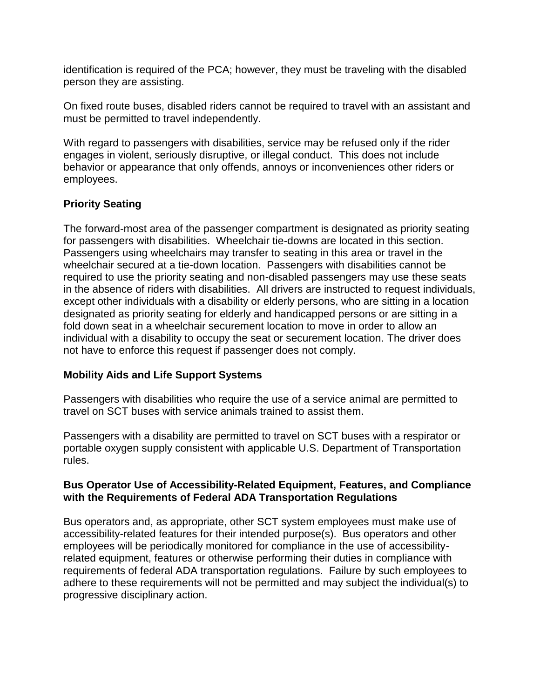identification is required of the PCA; however, they must be traveling with the disabled person they are assisting.

On fixed route buses, disabled riders cannot be required to travel with an assistant and must be permitted to travel independently.

With regard to passengers with disabilities, service may be refused only if the rider engages in violent, seriously disruptive, or illegal conduct. This does not include behavior or appearance that only offends, annoys or inconveniences other riders or employees.

# **Priority Seating**

The forward-most area of the passenger compartment is designated as priority seating for passengers with disabilities. Wheelchair tie-downs are located in this section. Passengers using wheelchairs may transfer to seating in this area or travel in the wheelchair secured at a tie-down location. Passengers with disabilities cannot be required to use the priority seating and non-disabled passengers may use these seats in the absence of riders with disabilities. All drivers are instructed to request individuals, except other individuals with a disability or elderly persons, who are sitting in a location designated as priority seating for elderly and handicapped persons or are sitting in a fold down seat in a wheelchair securement location to move in order to allow an individual with a disability to occupy the seat or securement location. The driver does not have to enforce this request if passenger does not comply.

# **Mobility Aids and Life Support Systems**

Passengers with disabilities who require the use of a service animal are permitted to travel on SCT buses with service animals trained to assist them.

Passengers with a disability are permitted to travel on SCT buses with a respirator or portable oxygen supply consistent with applicable U.S. Department of Transportation rules.

#### **Bus Operator Use of Accessibility-Related Equipment, Features, and Compliance with the Requirements of Federal ADA Transportation Regulations**

Bus operators and, as appropriate, other SCT system employees must make use of accessibility-related features for their intended purpose(s). Bus operators and other employees will be periodically monitored for compliance in the use of accessibilityrelated equipment, features or otherwise performing their duties in compliance with requirements of federal ADA transportation regulations. Failure by such employees to adhere to these requirements will not be permitted and may subject the individual(s) to progressive disciplinary action.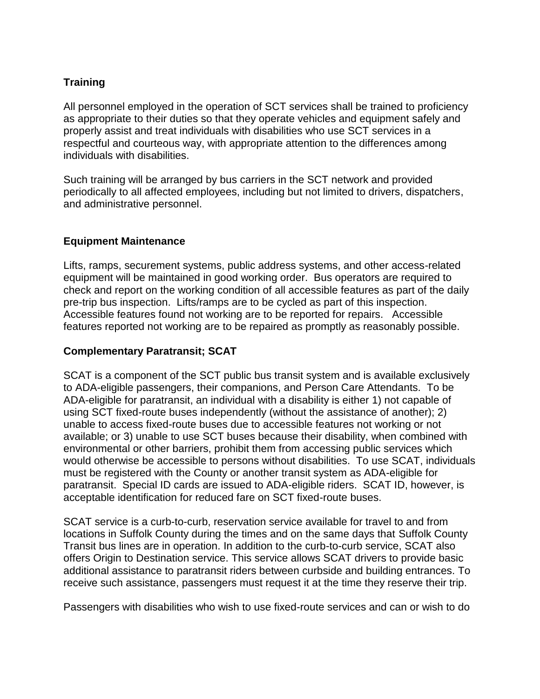# **Training**

All personnel employed in the operation of SCT services shall be trained to proficiency as appropriate to their duties so that they operate vehicles and equipment safely and properly assist and treat individuals with disabilities who use SCT services in a respectful and courteous way, with appropriate attention to the differences among individuals with disabilities.

Such training will be arranged by bus carriers in the SCT network and provided periodically to all affected employees, including but not limited to drivers, dispatchers, and administrative personnel.

## **Equipment Maintenance**

Lifts, ramps, securement systems, public address systems, and other access-related equipment will be maintained in good working order. Bus operators are required to check and report on the working condition of all accessible features as part of the daily pre-trip bus inspection. Lifts/ramps are to be cycled as part of this inspection. Accessible features found not working are to be reported for repairs. Accessible features reported not working are to be repaired as promptly as reasonably possible.

## **Complementary Paratransit; SCAT**

SCAT is a component of the SCT public bus transit system and is available exclusively to ADA-eligible passengers, their companions, and Person Care Attendants. To be ADA-eligible for paratransit, an individual with a disability is either 1) not capable of using SCT fixed-route buses independently (without the assistance of another); 2) unable to access fixed-route buses due to accessible features not working or not available; or 3) unable to use SCT buses because their disability, when combined with environmental or other barriers, prohibit them from accessing public services which would otherwise be accessible to persons without disabilities. To use SCAT, individuals must be registered with the County or another transit system as ADA-eligible for paratransit. Special ID cards are issued to ADA-eligible riders. SCAT ID, however, is acceptable identification for reduced fare on SCT fixed-route buses.

SCAT service is a curb-to-curb, reservation service available for travel to and from locations in Suffolk County during the times and on the same days that Suffolk County Transit bus lines are in operation. In addition to the curb-to-curb service, SCAT also offers Origin to Destination service. This service allows SCAT drivers to provide basic additional assistance to paratransit riders between curbside and building entrances. To receive such assistance, passengers must request it at the time they reserve their trip.

Passengers with disabilities who wish to use fixed-route services and can or wish to do